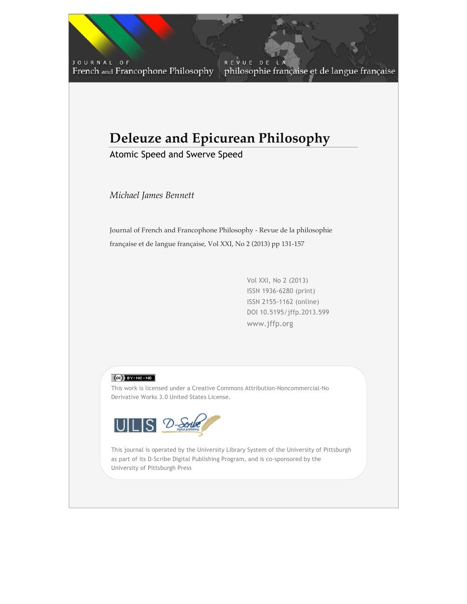JOURNAL OF French and Francophone Philosophy

REVUE DE philosophie française et de langue française

# **Deleuze and Epicurean Philosophy**

Atomic Speed and Swerve Speed

*Michael James Bennett*

Journal of French and Francophone Philosophy - Revue de la philosophie française et de langue française, Vol XXI, No 2 (2013) pp 131-157

> Vol XXI, No 2 (2013) ISSN 1936-6280 (print) ISSN 2155-1162 (online) DOI 10.5195/jffp.2013.599 www.jffp.org

 $V_{\rm 2}$  (2013)  $V_{\rm 2}$  (2013)  $V_{\rm 2}$  (2013)  $V_{\rm 2}$  (2013)  $V_{\rm 2}$ 



This work is licensed under a Creative Commons Attribution-Noncommercial-No Derivative Works 3.0 United States License.



University of Pittsburgh Press This journal is operated by the University Library System of the University of Pittsburgh as part of its D-Scribe Digital Publishing Program, and is co-sponsored by the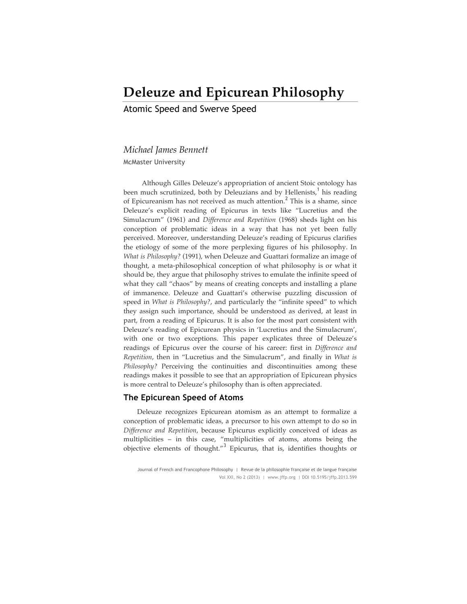## **Deleuze and Epicurean Philosophy**

Atomic Speed and Swerve Speed

## *Michael James Bennett*

McMaster University

Although Gilles Deleuze's appropriation of ancient Stoic ontology has been much scrutinized, both by Deleuzians and by Hellenists, $<sup>1</sup>$  his reading</sup> of Epicureanism has not received as much attention.<sup>2</sup> This is a shame, since Deleuze's explicit reading of Epicurus in texts like "Lucretius and the Simulacrum" (1961) and *Difference and Repetition* (1968) sheds light on his conception of problematic ideas in a way that has not yet been fully perceived. Moreover, understanding Deleuze's reading of Epicurus clarifies the etiology of some of the more perplexing figures of his philosophy. In *What is Philosophy?* (1991), when Deleuze and Guattari formalize an image of thought, a meta-philosophical conception of what philosophy is or what it should be, they argue that philosophy strives to emulate the infinite speed of what they call "chaos" by means of creating concepts and installing a plane of immanence. Deleuze and Guattari's otherwise puzzling discussion of speed in *What is Philosophy?*, and particularly the "infinite speed" to which they assign such importance, should be understood as derived, at least in part, from a reading of Epicurus. It is also for the most part consistent with Deleuze's reading of Epicurean physics in 'Lucretius and the Simulacrum', with one or two exceptions. This paper explicates three of Deleuze's readings of Epicurus over the course of his career: first in *Difference and Repetition*, then in "Lucretius and the Simulacrum", and finally in *What is Philosophy?* Perceiving the continuities and discontinuities among these readings makes it possible to see that an appropriation of Epicurean physics is more central to Deleuze's philosophy than is often appreciated.

## **The Epicurean Speed of Atoms**

Deleuze recognizes Epicurean atomism as an attempt to formalize a conception of problematic ideas, a precursor to his own attempt to do so in *Difference and Repetition*, because Epicurus explicitly conceived of ideas as multiplicities – in this case, "multiplicities of atoms, atoms being the objective elements of thought."<sup>3</sup> Epicurus, that is, identifies thoughts or

Journal of French and Francophone Philosophy | Revue de la philosophie française et de langue française Vol XXI, No 2 (2013) | www.jffp.org | DOI 10.5195/jffp.2013.599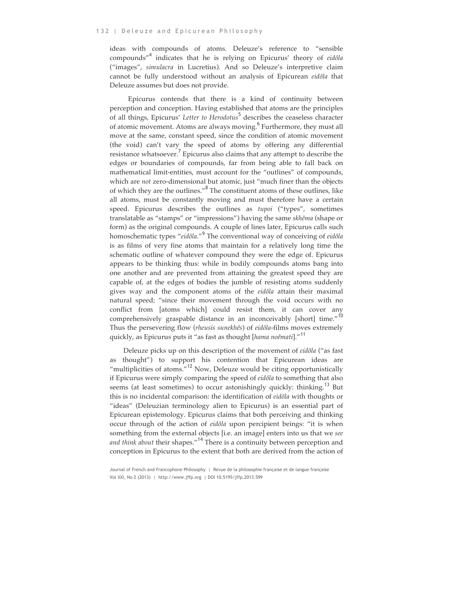ideas with compounds of atoms. Deleuze's reference to "sensible compounds" <sup>4</sup> indicates that he is relying on Epicurus' theory of *eidôla* ("images", *simulacra* in Lucretius). And so Deleuze's interpretive claim cannot be fully understood without an analysis of Epicurean *eidôla* that Deleuze assumes but does not provide.

Epicurus contends that there is a kind of continuity between perception and conception. Having established that atoms are the principles of all things, Epicurus' *Letter to Herodotus*<sup>5</sup> describes the ceaseless character of atomic movement. Atoms are always moving.<sup>6</sup> Furthermore, they must all move at the same, constant speed, since the condition of atomic movement (the void) can't vary the speed of atoms by offering any differential resistance whatsoever.<sup>7</sup> Epicurus also claims that any attempt to describe the edges or boundaries of compounds, far from being able to fall back on mathematical limit-entities, must account for the "outlines" of compounds, which are *not* zero-dimensional but atomic, just "much finer than the objects of which they are the outlines."<sup>8</sup> The constituent atoms of these outlines, like all atoms, must be constantly moving and must therefore have a certain speed. Epicurus describes the outlines as *tupoi* ("types", sometimes translatable as "stamps" or "impressions") having the same *skhêma* (shape or form) as the original compounds. A couple of lines later, Epicurus calls such homoschematic types "*eidôla*."<sup>9</sup> The conventional way of conceiving of *eidôla* is as films of very fine atoms that maintain for a relatively long time the schematic outline of whatever compound they were the edge of. Epicurus appears to be thinking thus: while in bodily compounds atoms bang into one another and are prevented from attaining the greatest speed they are capable of, at the edges of bodies the jumble of resisting atoms suddenly gives way and the component atoms of the *eidôla* attain their maximal natural speed; "since their movement through the void occurs with no conflict from [atoms which] could resist them, it can cover any comprehensively graspable distance in an inconceivably [short] time."<sup>10</sup> Thus the persevering flow (*rheusis sunekhês*) of *eidôla*-films moves extremely quickly, as Epicurus puts it "as fast as thought [*hama noêmati*]."<sup>11</sup>

Deleuze picks up on this description of the movement of *eidôla* ("as fast as thought") to support his contention that Epicurean ideas are "multiplicities of atoms."<sup>12</sup> Now, Deleuze would be citing opportunistically if Epicurus were simply comparing the speed of *eidôla* to something that also seems (at least sometimes) to occur astonishingly quickly: thinking.<sup>13</sup> But this is no incidental comparison: the identification of *eidôla* with thoughts or "ideas" (Deleuzian terminology alien to Epicurus) is an essential part of Epicurean epistemology. Epicurus claims that both perceiving and thinking occur through of the action of *eidôla* upon percipient beings: "it is when something from the external objects [i.e. an image] enters into us that we *see and think about* their shapes."<sup>14</sup> There is a continuity between perception and conception in Epicurus to the extent that both are derived from the action of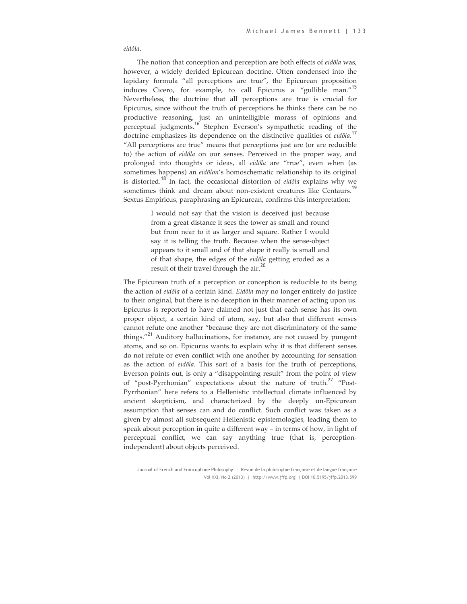#### *eidôla*.

The notion that conception and perception are both effects of *eidôla* was, however, a widely derided Epicurean doctrine. Often condensed into the lapidary formula "all perceptions are true", the Epicurean proposition induces Cicero, for example, to call Epicurus a "gullible man."<sup>15</sup> Nevertheless, the doctrine that all perceptions are true is crucial for Epicurus, since without the truth of perceptions he thinks there can be no productive reasoning, just an unintelligible morass of opinions and perceptual judgments.<sup>16</sup> Stephen Everson's sympathetic reading of the doctrine emphasizes its dependence on the distinctive qualities of *eidôla*. 17 "All perceptions are true" means that perceptions just are (or are reducible to) the action of *eidôla* on our senses. Perceived in the proper way, and prolonged into thoughts or ideas, all *eidôla* are "true", even when (as sometimes happens) an *eidôlon*'s homoschematic relationship to its original is distorted.<sup>18</sup> In fact, the occasional distortion of *eidôla* explains why we sometimes think and dream about non-existent creatures like Centaurs.<sup>19</sup> Sextus Empiricus, paraphrasing an Epicurean, confirms this interpretation:

> I would not say that the vision is deceived just because from a great distance it sees the tower as small and round but from near to it as larger and square. Rather I would say it is telling the truth. Because when the sense-object appears to it small and of that shape it really is small and of that shape, the edges of the *eidôla* getting eroded as a result of their travel through the air.<sup>20</sup>

The Epicurean truth of a perception or conception is reducible to its being the action of *eidôla* of a certain kind. *Eidôla* may no longer entirely do justice to their original, but there is no deception in their manner of acting upon us. Epicurus is reported to have claimed not just that each sense has its own proper object, a certain kind of atom, say, but also that different senses cannot refute one another "because they are not discriminatory of the same things."<sup>21</sup> Auditory hallucinations, for instance, are not caused by pungent atoms, and so on. Epicurus wants to explain why it is that different senses do not refute or even conflict with one another by accounting for sensation as the action of *eidôla*. This sort of a basis for the truth of perceptions, Everson points out, is only a "disappointing result" from the point of view of "post-Pyrrhonian" expectations about the nature of truth.<sup>22</sup> "Post-Pyrrhonian" here refers to a Hellenistic intellectual climate influenced by ancient skepticism, and characterized by the deeply un-Epicurean assumption that senses can and do conflict. Such conflict was taken as a given by almost all subsequent Hellenistic epistemologies, leading them to speak about perception in quite a different way – in terms of how, in light of perceptual conflict, we can say anything true (that is, perceptionindependent) about objects perceived.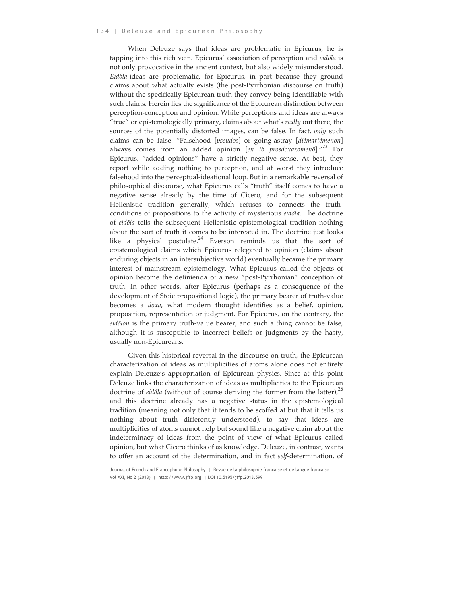When Deleuze says that ideas are problematic in Epicurus, he is tapping into this rich vein. Epicurus' association of perception and *eidôla* is not only provocative in the ancient context, but also widely misunderstood. *Eidôla-*ideas are problematic, for Epicurus, in part because they ground claims about what actually exists (the post-Pyrrhonian discourse on truth) without the specifically Epicurean truth they convey being identifiable with such claims. Herein lies the significance of the Epicurean distinction between perception-conception and opinion. While perceptions and ideas are always "true" or epistemologically primary, claims about what's *really* out there, the sources of the potentially distorted images, can be false. In fact, *only* such claims can be false: "Falsehood [*pseudos*] or going-astray [*diêmartêmenon*] always comes from an added opinion [en tô prosdoxazomenô]."<sup>23</sup> For Epicurus, "added opinions" have a strictly negative sense. At best, they report while adding nothing to perception, and at worst they introduce falsehood into the perceptual-ideational loop. But in a remarkable reversal of philosophical discourse, what Epicurus calls "truth" itself comes to have a negative sense already by the time of Cicero, and for the subsequent Hellenistic tradition generally, which refuses to connects the truthconditions of propositions to the activity of mysterious *eidôla*. The doctrine of *eidôla* tells the subsequent Hellenistic epistemological tradition nothing about the sort of truth it comes to be interested in. The doctrine just looks like a physical postulate.<sup>24</sup> Everson reminds us that the sort of epistemological claims which Epicurus relegated to opinion (claims about enduring objects in an intersubjective world) eventually became the primary interest of mainstream epistemology. What Epicurus called the objects of opinion become the definienda of a new "post-Pyrrhonian" conception of truth. In other words, after Epicurus (perhaps as a consequence of the development of Stoic propositional logic), the primary bearer of truth-value becomes a *doxa*, what modern thought identifies as a belief, opinion, proposition, representation or judgment. For Epicurus, on the contrary, the *eidôlon* is the primary truth-value bearer, and such a thing cannot be false, although it is susceptible to incorrect beliefs or judgments by the hasty, usually non-Epicureans.

Given this historical reversal in the discourse on truth, the Epicurean characterization of ideas as multiplicities of atoms alone does not entirely explain Deleuze's appropriation of Epicurean physics. Since at this point Deleuze links the characterization of ideas as multiplicities to the Epicurean doctrine of *eidôla* (without of course deriving the former from the latter),<sup>25</sup> and this doctrine already has a negative status in the epistemological tradition (meaning not only that it tends to be scoffed at but that it tells us nothing about truth differently understood), to say that ideas are multiplicities of atoms cannot help but sound like a negative claim about the indeterminacy of ideas from the point of view of what Epicurus called opinion, but what Cicero thinks of as knowledge. Deleuze, in contrast, wants to offer an account of the determination, and in fact *self*-determination, of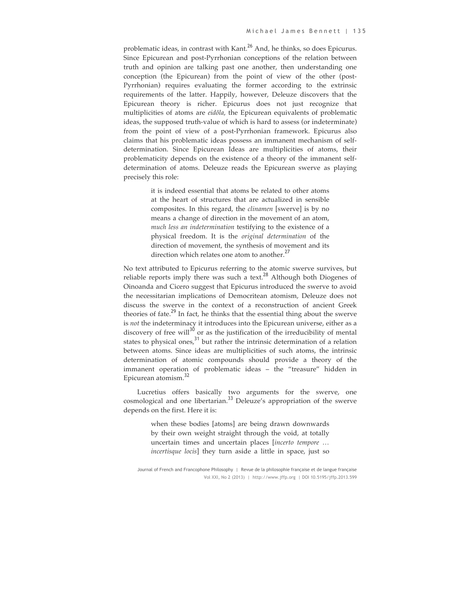problematic ideas, in contrast with Kant.<sup>26</sup> And, he thinks, so does Epicurus. Since Epicurean and post-Pyrrhonian conceptions of the relation between truth and opinion are talking past one another, then understanding one conception (the Epicurean) from the point of view of the other (post-Pyrrhonian) requires evaluating the former according to the extrinsic requirements of the latter. Happily, however, Deleuze discovers that the Epicurean theory is richer. Epicurus does not just recognize that multiplicities of atoms are *eidôla*, the Epicurean equivalents of problematic ideas, the supposed truth-value of which is hard to assess (or indeterminate) from the point of view of a post-Pyrrhonian framework. Epicurus also claims that his problematic ideas possess an immanent mechanism of selfdetermination. Since Epicurean Ideas are multiplicities of atoms, their problematicity depends on the existence of a theory of the immanent selfdetermination of atoms. Deleuze reads the Epicurean swerve as playing precisely this role:

> it is indeed essential that atoms be related to other atoms at the heart of structures that are actualized in sensible composites. In this regard, the *clinamen* [swerve] is by no means a change of direction in the movement of an atom, *much less an indetermination* testifying to the existence of a physical freedom. It is the *original determination* of the direction of movement, the synthesis of movement and its direction which relates one atom to another.<sup>27</sup>

No text attributed to Epicurus referring to the atomic swerve survives, but reliable reports imply there was such a text.<sup>28</sup> Although both Diogenes of Oinoanda and Cicero suggest that Epicurus introduced the swerve to avoid the necessitarian implications of Democritean atomism, Deleuze does not discuss the swerve in the context of a reconstruction of ancient Greek theories of fate.<sup>29</sup> In fact, he thinks that the essential thing about the swerve is *not* the indeterminacy it introduces into the Epicurean universe, either as a discovery of free will $^{30}$  or as the justification of the irreducibility of mental states to physical ones, $31$  but rather the intrinsic determination of a relation between atoms. Since ideas are multiplicities of such atoms, the intrinsic determination of atomic compounds should provide a theory of the immanent operation of problematic ideas – the "treasure" hidden in Epicurean atomism.<sup>32</sup>

Lucretius offers basically two arguments for the swerve, one cosmological and one libertarian.<sup>33</sup> Deleuze's appropriation of the swerve depends on the first. Here it is:

> when these bodies [atoms] are being drawn downwards by their own weight straight through the void, at totally uncertain times and uncertain places [*incerto tempore … incertisque locis*] they turn aside a little in space, just so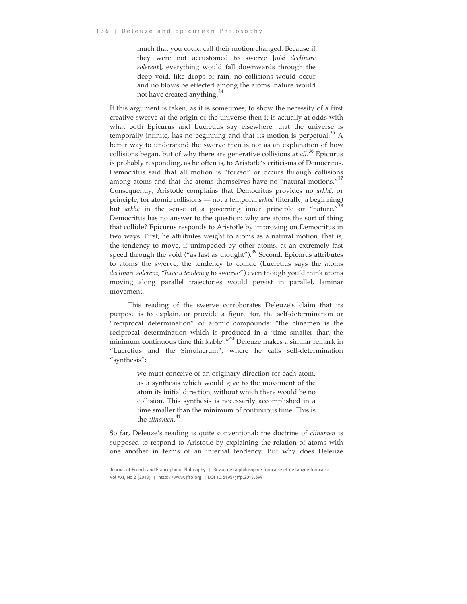much that you could call their motion changed. Because if they were not accustomed to swerve [*nisi declinare solerent*], everything would fall downwards through the deep void, like drops of rain, no collisions would occur and no blows be effected among the atoms: nature would not have created anything.<sup>34</sup>

If this argument is taken, as it is sometimes, to show the necessity of a first creative swerve at the origin of the universe then it is actually at odds with what both Epicurus and Lucretius say elsewhere: that the universe is temporally infinite, has no beginning and that its motion is perpetual.<sup>35</sup> A better way to understand the swerve then is not as an explanation of how collisions began, but of why there are generative collisions *at all*. <sup>36</sup> Epicurus is probably responding, as he often is, to Aristotle's criticisms of Democritus. Democritus said that all motion is "forced" or occurs through collisions among atoms and that the atoms themselves have no "natural motions."<sup>37</sup> Consequently, Aristotle complains that Democritus provides no *arkhê*, or principle, for atomic collisions — not a temporal *arkhê* (literally, a beginning) but *arkhê* in the sense of a governing inner principle or "nature."<sup>38</sup> Democritus has no answer to the question: why are atoms the sort of thing that collide? Epicurus responds to Aristotle by improving on Democritus in two ways. First, he attributes weight to atoms as a natural motion, that is, the tendency to move, if unimpeded by other atoms, at an extremely fast speed through the void ("as fast as thought").<sup>39</sup> Second, Epicurus attributes to atoms the swerve, the tendency to collide (Lucretius says the atoms *declinare solerent*, "*have a tendency* to swerve") even though you'd think atoms moving along parallel trajectories would persist in parallel, laminar movement.

This reading of the swerve corroborates Deleuze's claim that its purpose is to explain, or provide a figure for, the self-determination or "reciprocal determination" of atomic compounds: "the clinamen is the reciprocal determination which is produced in a 'time smaller than the minimum continuous time thinkable'."<sup>40</sup> Deleuze makes a similar remark in "Lucretius and the Simulacrum", where he calls self-determination "synthesis":

> we must conceive of an originary direction for each atom, as a synthesis which would give to the movement of the atom its initial direction, without which there would be no collision. This synthesis is necessarily accomplished in a time smaller than the minimum of continuous time. This is the *clinamen*. 41

So far, Deleuze's reading is quite conventional: the doctrine of *clinamen* is supposed to respond to Aristotle by explaining the relation of atoms with one another in terms of an internal tendency. But why does Deleuze

Journal of French and Francophone Philosophy | Revue de la philosophie française et de langue française Vol XXI, No 2 (2013) | http://www.jffp.org | DOI 10.5195/jffp.2013.599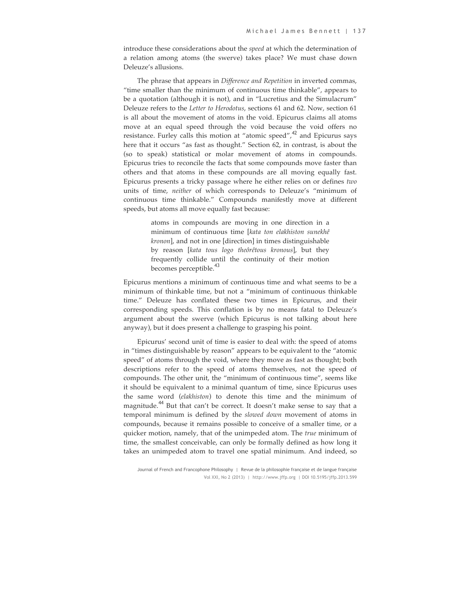introduce these considerations about the *speed* at which the determination of a relation among atoms (the swerve) takes place? We must chase down Deleuze's allusions.

The phrase that appears in *Difference and Repetition* in inverted commas, "time smaller than the minimum of continuous time thinkable", appears to be a quotation (although it is not), and in "Lucretius and the Simulacrum" Deleuze refers to the *Letter to Herodotus*, sections 61 and 62. Now, section 61 is all about the movement of atoms in the void. Epicurus claims all atoms move at an equal speed through the void because the void offers no resistance. Furley calls this motion at "atomic speed", $42$  and Epicurus says here that it occurs "as fast as thought." Section 62, in contrast, is about the (so to speak) statistical or molar movement of atoms in compounds. Epicurus tries to reconcile the facts that some compounds move faster than others and that atoms in these compounds are all moving equally fast. Epicurus presents a tricky passage where he either relies on or defines *two* units of time, *neither* of which corresponds to Deleuze's "minimum of continuous time thinkable." Compounds manifestly move at different speeds, but atoms all move equally fast because:

> atoms in compounds are moving in one direction in a minimum of continuous time [*kata ton elakhiston sunekhê kronon*], and not in one [direction] in times distinguishable by reason [*kata tous logo theôrêtous kronous*], but they frequently collide until the continuity of their motion becomes perceptible.<sup>43</sup>

Epicurus mentions a minimum of continuous time and what seems to be a minimum of thinkable time, but not a "minimum of continuous thinkable time." Deleuze has conflated these two times in Epicurus, and their corresponding speeds. This conflation is by no means fatal to Deleuze's argument about the swerve (which Epicurus is not talking about here anyway), but it does present a challenge to grasping his point.

Epicurus' second unit of time is easier to deal with: the speed of atoms in "times distinguishable by reason" appears to be equivalent to the "atomic speed" of atoms through the void, where they move as fast as thought; both descriptions refer to the speed of atoms themselves, not the speed of compounds. The other unit, the "minimum of continuous time", seems like it should be equivalent to a minimal quantum of time, since Epicurus uses the same word (*elakhiston*) to denote this time and the minimum of magnitude.<sup>44</sup> But that can't be correct. It doesn't make sense to say that a temporal minimum is defined by the *slowed down* movement of atoms in compounds, because it remains possible to conceive of a smaller time, or a quicker motion, namely, that of the unimpeded atom. The *true* minimum of time, the smallest conceivable, can only be formally defined as how long it takes an unimpeded atom to travel one spatial minimum. And indeed, so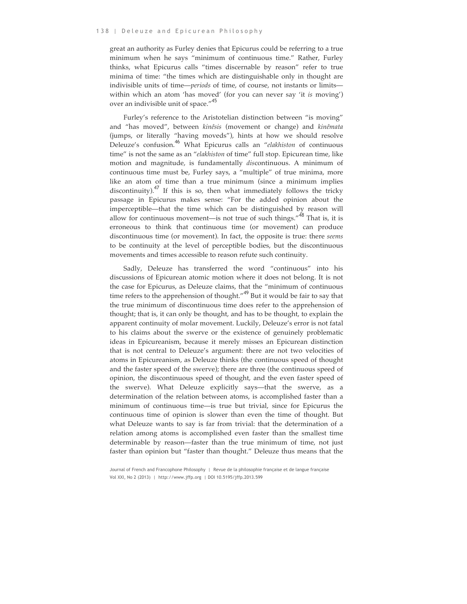great an authority as Furley denies that Epicurus could be referring to a true minimum when he says "minimum of continuous time." Rather, Furley thinks, what Epicurus calls "times discernable by reason" refer to true minima of time: "the times which are distinguishable only in thought are indivisible units of time—*periods* of time, of course, not instants or limits within which an atom 'has moved' (for you can never say 'it *is* moving') over an indivisible unit of space."<sup>45</sup>

Furley's reference to the Aristotelian distinction between "is moving" and "has moved", between *kinêsis* (movement or change) and *kinêmata* (jumps, or literally "having moveds"), hints at how we should resolve Deleuze's confusion.<sup>46</sup> What Epicurus calls an "*elakhiston* of continuous time" is not the same as an "*elakhiston* of time" full stop. Epicurean time, like motion and magnitude, is fundamentally *dis*continuous. A minimum of continuous time must be, Furley says, a "multiple" of true minima, more like an atom of time than a true minimum (since a minimum implies discontinuity).<sup>47</sup> If this is so, then what immediately follows the tricky passage in Epicurus makes sense: "For the added opinion about the imperceptible—that the time which can be distinguished by reason will allow for continuous movement—is not true of such things. $148$  That is, it is erroneous to think that continuous time (or movement) can produce discontinuous time (or movement). In fact, the opposite is true: there *seems* to be continuity at the level of perceptible bodies, but the discontinuous movements and times accessible to reason refute such continuity.

Sadly, Deleuze has transferred the word "continuous" into his discussions of Epicurean atomic motion where it does not belong. It is not the case for Epicurus, as Deleuze claims, that the "minimum of continuous time refers to the apprehension of thought."<sup>49</sup> But it would be fair to say that the true minimum of discontinuous time does refer to the apprehension of thought; that is, it can only be thought, and has to be thought, to explain the apparent continuity of molar movement. Luckily, Deleuze's error is not fatal to his claims about the swerve or the existence of genuinely problematic ideas in Epicureanism, because it merely misses an Epicurean distinction that is not central to Deleuze's argument: there are not two velocities of atoms in Epicureanism, as Deleuze thinks (the continuous speed of thought and the faster speed of the swerve); there are three (the continuous speed of opinion, the discontinuous speed of thought, and the even faster speed of the swerve). What Deleuze explicitly says—that the swerve, as a determination of the relation between atoms, is accomplished faster than a minimum of continuous time—is true but trivial, since for Epicurus the continuous time of opinion is slower than even the time of thought. But what Deleuze wants to say is far from trivial: that the determination of a relation among atoms is accomplished even faster than the smallest time determinable by reason—faster than the true minimum of time, not just faster than opinion but "faster than thought." Deleuze thus means that the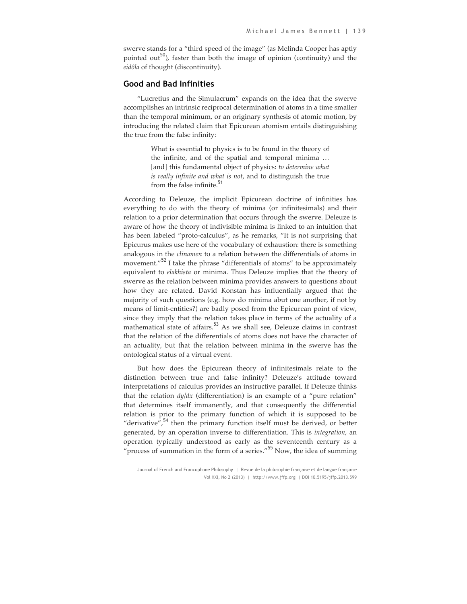swerve stands for a "third speed of the image" (as Melinda Cooper has aptly pointed out<sup>50</sup>), faster than both the image of opinion (continuity) and the *eidôla* of thought (discontinuity).

### **Good and Bad Infinities**

"Lucretius and the Simulacrum" expands on the idea that the swerve accomplishes an intrinsic reciprocal determination of atoms in a time smaller than the temporal minimum, or an originary synthesis of atomic motion, by introducing the related claim that Epicurean atomism entails distinguishing the true from the false infinity:

> What is essential to physics is to be found in the theory of the infinite, and of the spatial and temporal minima … [and] this fundamental object of physics: *to determine what is really infinite and what is not*, and to distinguish the true from the false infinite.<sup>51</sup>

According to Deleuze, the implicit Epicurean doctrine of infinities has everything to do with the theory of minima (or infinitesimals) and their relation to a prior determination that occurs through the swerve. Deleuze is aware of how the theory of indivisible minima is linked to an intuition that has been labeled "proto-calculus", as he remarks, "It is not surprising that Epicurus makes use here of the vocabulary of exhaustion: there is something analogous in the *clinamen* to a relation between the differentials of atoms in movement."<sup>52</sup> I take the phrase "differentials of atoms" to be approximately equivalent to *elakhista* or minima. Thus Deleuze implies that the theory of swerve as the relation between minima provides answers to questions about how they are related. David Konstan has influentially argued that the majority of such questions (e.g. how do minima abut one another, if not by means of limit-entities?) are badly posed from the Epicurean point of view, since they imply that the relation takes place in terms of the actuality of a mathematical state of affairs.<sup>53</sup> As we shall see, Deleuze claims in contrast that the relation of the differentials of atoms does not have the character of an actuality, but that the relation between minima in the swerve has the ontological status of a virtual event.

But how does the Epicurean theory of infinitesimals relate to the distinction between true and false infinity? Deleuze's attitude toward interpretations of calculus provides an instructive parallel. If Deleuze thinks that the relation *dy/dx* (differentiation) is an example of a "pure relation" that determines itself immanently, and that consequently the differential relation is prior to the primary function of which it is supposed to be "derivative",<sup>54</sup> then the primary function itself must be derived, or better generated, by an operation inverse to differentiation. This is *integration*, an operation typically understood as early as the seventeenth century as a "process of summation in the form of a series."<sup>55</sup> Now, the idea of summing

Journal of French and Francophone Philosophy | Revue de la philosophie française et de langue française Vol XXI, No 2 (2013) | http://www.jffp.org | DOI 10.5195/jffp.2013.599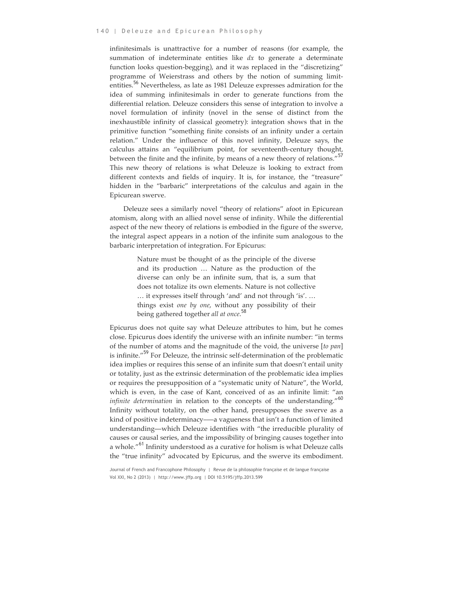infinitesimals is unattractive for a number of reasons (for example, the summation of indeterminate entities like *dx* to generate a determinate function looks question-begging), and it was replaced in the "discretizing" programme of Weierstrass and others by the notion of summing limitentities.<sup>56</sup> Nevertheless, as late as 1981 Deleuze expresses admiration for the idea of summing infinitesimals in order to generate functions from the differential relation. Deleuze considers this sense of integration to involve a novel formulation of infinity (novel in the sense of distinct from the inexhaustible infinity of classical geometry): integration shows that in the primitive function "something finite consists of an infinity under a certain relation." Under the influence of this novel infinity, Deleuze says, the calculus attains an "equilibrium point, for seventeenth-century thought, between the finite and the infinite, by means of a new theory of relations."<sup>57</sup> This new theory of relations is what Deleuze is looking to extract from different contexts and fields of inquiry. It is, for instance, the "treasure" hidden in the "barbaric" interpretations of the calculus and again in the Epicurean swerve.

Deleuze sees a similarly novel "theory of relations" afoot in Epicurean atomism, along with an allied novel sense of infinity. While the differential aspect of the new theory of relations is embodied in the figure of the swerve, the integral aspect appears in a notion of the infinite sum analogous to the barbaric interpretation of integration. For Epicurus:

> Nature must be thought of as the principle of the diverse and its production … Nature as the production of the diverse can only be an infinite sum, that is, a sum that does not totalize its own elements. Nature is not collective … it expresses itself through 'and' and not through 'is'. … things exist *one by one*, without any possibility of their being gathered together *all at once*. 58

Epicurus does not quite say what Deleuze attributes to him, but he comes close. Epicurus does identify the universe with an infinite number: "in terms of the number of atoms and the magnitude of the void, the universe [*to pan*] is infinite."<sup>59</sup> For Deleuze, the intrinsic self-determination of the problematic idea implies or requires this sense of an infinite sum that doesn't entail unity or totality, just as the extrinsic determination of the problematic idea implies or requires the presupposition of a "systematic unity of Nature", the World, which is even, in the case of Kant, conceived of as an infinite limit: "an *infinite determination* in relation to the concepts of the understanding."<sup>60</sup> Infinity without totality, on the other hand, presupposes the swerve as a kind of positive indeterminacy–—a vagueness that isn't a function of limited understanding—which Deleuze identifies with "the irreducible plurality of causes or causal series, and the impossibility of bringing causes together into a whole."<sup>61</sup> Infinity understood as a curative for holism is what Deleuze calls the "true infinity" advocated by Epicurus, and the swerve its embodiment.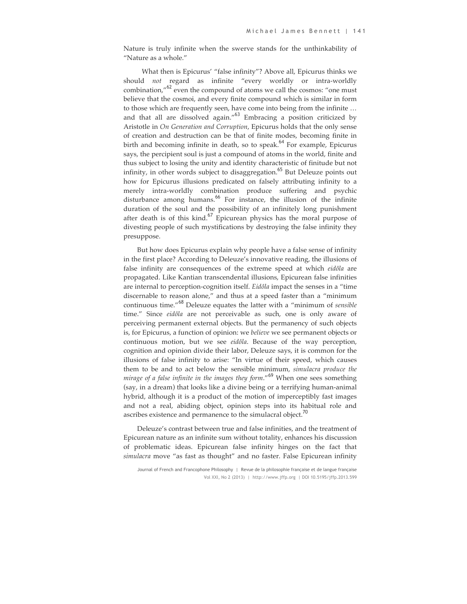Nature is truly infinite when the swerve stands for the unthinkability of "Nature as a whole."

What then is Epicurus' "false infinity"? Above all, Epicurus thinks we should *not* regard as infinite "every worldly or intra-worldly combination,"<sup>62</sup> even the compound of atoms we call the cosmos: "one must believe that the cosmoi, and every finite compound which is similar in form to those which are frequently seen, have come into being from the infinite … and that all are dissolved again."<sup>63</sup> Embracing a position criticized by Aristotle in *On Generation and Corruption*, Epicurus holds that the only sense of creation and destruction can be that of finite modes, becoming finite in birth and becoming infinite in death, so to speak. $64$  For example, Epicurus says, the percipient soul is just a compound of atoms in the world, finite and thus subject to losing the unity and identity characteristic of finitude but not infinity, in other words subject to disaggregation.<sup>65</sup> But Deleuze points out how for Epicurus illusions predicated on falsely attributing infinity to a merely intra-worldly combination produce suffering and psychic disturbance among humans.<sup>66</sup> For instance, the illusion of the infinite duration of the soul and the possibility of an infinitely long punishment after death is of this kind.<sup>67</sup> Epicurean physics has the moral purpose of divesting people of such mystifications by destroying the false infinity they presuppose.

But how does Epicurus explain why people have a false sense of infinity in the first place? According to Deleuze's innovative reading, the illusions of false infinity are consequences of the extreme speed at which *eidôla* are propagated. Like Kantian transcendental illusions, Epicurean false infinities are internal to perception-cognition itself. *Eidôla* impact the senses in a "time discernable to reason alone," and thus at a speed faster than a "minimum continuous time."<sup>68</sup> Deleuze equates the latter with a "minimum of *sensible* time." Since *eidôla* are not perceivable as such, one is only aware of perceiving permanent external objects. But the permanency of such objects is, for Epicurus, a function of opinion: we *believe* we see permanent objects or continuous motion, but we see *eidôla*. Because of the way perception, cognition and opinion divide their labor, Deleuze says, it is common for the illusions of false infinity to arise: "In virtue of their speed, which causes them to be and to act below the sensible minimum, *simulacra produce the mirage of a false infinite in the images they form*."<sup>69</sup> When one sees something (say, in a dream) that looks like a divine being or a terrifying human-animal hybrid, although it is a product of the motion of imperceptibly fast images and not a real, abiding object, opinion steps into its habitual role and ascribes existence and permanence to the simulacral object.<sup>70</sup>

Deleuze's contrast between true and false infinities, and the treatment of Epicurean nature as an infinite sum without totality, enhances his discussion of problematic ideas. Epicurean false infinity hinges on the fact that *simulacra* move "as fast as thought" and no faster. False Epicurean infinity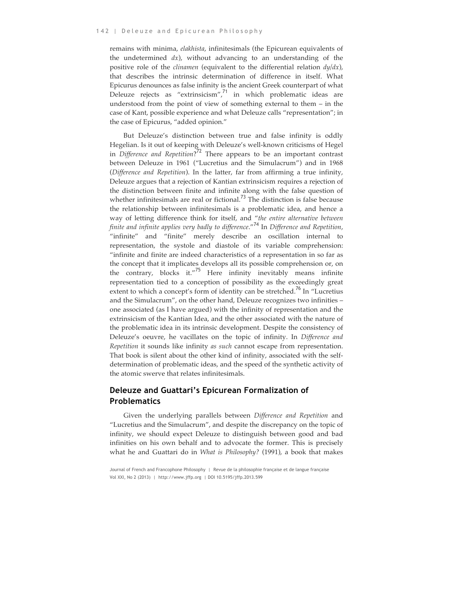remains with minima, *elakhista*, infinitesimals (the Epicurean equivalents of the undetermined *dx*), without advancing to an understanding of the positive role of the *clinamen* (equivalent to the differential relation *dy/dx*), that describes the intrinsic determination of difference in itself. What Epicurus denounces as false infinity is the ancient Greek counterpart of what Deleuze rejects as "extrinsicism", $71$  in which problematic ideas are understood from the point of view of something external to them – in the case of Kant, possible experience and what Deleuze calls "representation"; in the case of Epicurus, "added opinion."

But Deleuze's distinction between true and false infinity is oddly Hegelian. Is it out of keeping with Deleuze's well-known criticisms of Hegel in *Difference and Repetition*? <sup>72</sup> There appears to be an important contrast between Deleuze in 1961 ("Lucretius and the Simulacrum") and in 1968 (*Difference and Repetition*). In the latter, far from affirming a true infinity, Deleuze argues that a rejection of Kantian extrinsicism requires a rejection of the distinction between finite and infinite along with the false question of whether infinitesimals are real or fictional.<sup>73</sup> The distinction is false because the relationship between infinitesimals is a problematic idea, and hence a way of letting difference think for itself, and "*the entire alternative between finite and infinite applies very badly to difference*."<sup>74</sup> In *Difference and Repetition*, "infinite" and "finite" merely describe an oscillation internal to representation, the systole and diastole of its variable comprehension: "infinite and finite are indeed characteristics of a representation in so far as the concept that it implicates develops all its possible comprehension or, on the contrary, blocks it."<sup>75</sup> Here infinity inevitably means infinite representation tied to a conception of possibility as the exceedingly great extent to which a concept's form of identity can be stretched.<sup>76</sup> In "Lucretius and the Simulacrum", on the other hand, Deleuze recognizes two infinities – one associated (as I have argued) with the infinity of representation and the extrinsicism of the Kantian Idea, and the other associated with the nature of the problematic idea in its intrinsic development. Despite the consistency of Deleuze's oeuvre, he vacillates on the topic of infinity. In *Difference and Repetition* it sounds like infinity *as such* cannot escape from representation. That book is silent about the other kind of infinity, associated with the selfdetermination of problematic ideas, and the speed of the synthetic activity of the atomic swerve that relates infinitesimals.

## **Deleuze and Guattari's Epicurean Formalization of Problematics**

Given the underlying parallels between *Difference and Repetition* and "Lucretius and the Simulacrum", and despite the discrepancy on the topic of infinity, we should expect Deleuze to distinguish between good and bad infinities on his own behalf and to advocate the former. This is precisely what he and Guattari do in *What is Philosophy?* (1991), a book that makes

Journal of French and Francophone Philosophy | Revue de la philosophie française et de langue française Vol XXI, No 2 (2013) | http://www.jffp.org | DOI 10.5195/jffp.2013.599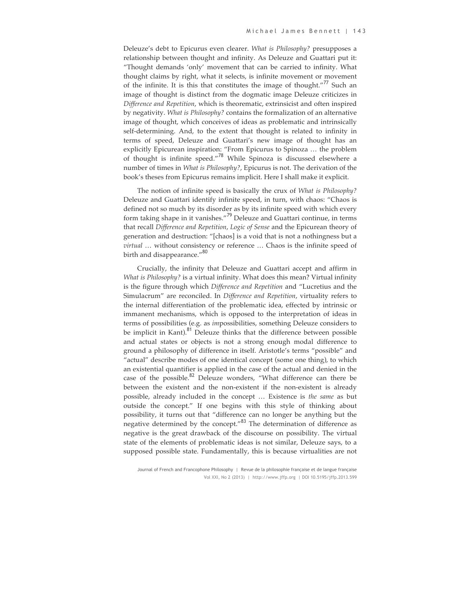Deleuze's debt to Epicurus even clearer. *What is Philosophy?* presupposes a relationship between thought and infinity. As Deleuze and Guattari put it: "Thought demands 'only' movement that can be carried to infinity. What thought claims by right, what it selects, is infinite movement or movement of the infinite. It is this that constitutes the image of thought."<sup>77</sup> Such an image of thought is distinct from the dogmatic image Deleuze criticizes in *Difference and Repetition*, which is theorematic, extrinsicist and often inspired by negativity. *What is Philosophy?* contains the formalization of an alternative image of thought, which conceives of ideas as problematic and intrinsically self-determining. And, to the extent that thought is related to infinity in terms of speed, Deleuze and Guattari's new image of thought has an explicitly Epicurean inspiration: "From Epicurus to Spinoza … the problem of thought is infinite speed."<sup>78</sup> While Spinoza is discussed elsewhere a number of times in *What is Philosophy?*, Epicurus is not. The derivation of the book's theses from Epicurus remains implicit. Here I shall make it explicit.

The notion of infinite speed is basically the crux of *What is Philosophy?* Deleuze and Guattari identify infinite speed, in turn, with chaos: "Chaos is defined not so much by its disorder as by its infinite speed with which every form taking shape in it vanishes."<sup>79</sup> Deleuze and Guattari continue, in terms that recall *Difference and Repetition*, *Logic of Sense* and the Epicurean theory of generation and destruction: "[chaos] is a void that is not a nothingness but a *virtual* … without consistency or reference … Chaos is the infinite speed of birth and disappearance."<sup>80</sup>

Crucially, the infinity that Deleuze and Guattari accept and affirm in *What is Philosophy?* is a virtual infinity. What does this mean? Virtual infinity is the figure through which *Difference and Repetition* and "Lucretius and the Simulacrum" are reconciled. In *Difference and Repetition*, virtuality refers to the internal differentiation of the problematic idea, effected by intrinsic or immanent mechanisms, which is opposed to the interpretation of ideas in terms of possibilities (e.g. as *im*possibilities, something Deleuze considers to be implicit in Kant). $81$  Deleuze thinks that the difference between possible and actual states or objects is not a strong enough modal difference to ground a philosophy of difference in itself. Aristotle's terms "possible" and "actual" describe modes of one identical concept (some one thing), to which an existential quantifier is applied in the case of the actual and denied in the case of the possible.<sup>82</sup> Deleuze wonders, "What difference can there be between the existent and the non-existent if the non-existent is already possible, already included in the concept … Existence is *the same* as but outside the concept." If one begins with this style of thinking about possibility, it turns out that "difference can no longer be anything but the negative determined by the concept."<sup>83</sup> The determination of difference as negative is the great drawback of the discourse on possibility. The virtual state of the elements of problematic ideas is not similar, Deleuze says, to a supposed possible state. Fundamentally, this is because virtualities are not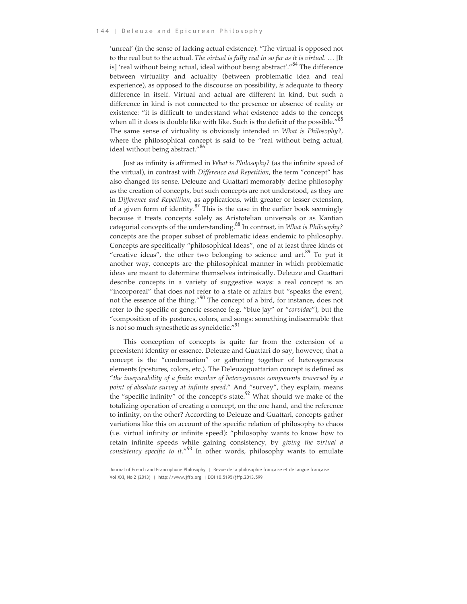'unreal' (in the sense of lacking actual existence): "The virtual is opposed not to the real but to the actual. *The virtual is fully real in so far as it is virtual*. … [It is] 'real without being actual, ideal without being abstract'."<sup>84</sup> The difference between virtuality and actuality (between problematic idea and real experience), as opposed to the discourse on possibility, *is* adequate to theory difference in itself. Virtual and actual are different in kind, but such a difference in kind is not connected to the presence or absence of reality or existence: "it is difficult to understand what existence adds to the concept when all it does is double like with like. Such is the deficit of the possible."<sup>85</sup> The same sense of virtuality is obviously intended in *What is Philosophy?*, where the philosophical concept is said to be "real without being actual, ideal without being abstract."<sup>86</sup>

Just as infinity is affirmed in *What is Philosophy?* (as the infinite speed of the virtual), in contrast with *Difference and Repetition*, the term "concept" has also changed its sense. Deleuze and Guattari memorably define philosophy as the creation of concepts, but such concepts are not understood, as they are in *Difference and Repetition*, as applications, with greater or lesser extension, of a given form of identity. $87$  This is the case in the earlier book seemingly because it treats concepts solely as Aristotelian universals or as Kantian categorial concepts of the understanding.<sup>88</sup> In contrast, in *What is Philosophy?* concepts are the proper subset of problematic ideas endemic to philosophy. Concepts are specifically "philosophical Ideas", one of at least three kinds of "creative ideas", the other two belonging to science and  $art.^{89}$  To put it another way, concepts are the philosophical manner in which problematic ideas are meant to determine themselves intrinsically. Deleuze and Guattari describe concepts in a variety of suggestive ways: a real concept is an "incorporeal" that does not refer to a state of affairs but "speaks the event, not the essence of the thing."<sup>90</sup> The concept of a bird, for instance, does not refer to the specific or generic essence (e.g. "blue jay" or "*corvidae*"), but the "composition of its postures, colors, and songs: something indiscernable that is not so much synesthetic as syneidetic."<sup>91</sup>

This conception of concepts is quite far from the extension of a preexistent identity or essence. Deleuze and Guattari do say, however, that a concept is the "condensation" or gathering together of heterogeneous elements (postures, colors, etc.). The Deleuzoguattarian concept is defined as "*the inseparability of a finite number of heterogeneous components traversed by a point of absolute survey at infinite speed*." And "survey", they explain, means the "specific infinity" of the concept's state.<sup>92</sup> What should we make of the totalizing operation of creating a concept, on the one hand, and the reference to infinity, on the other? According to Deleuze and Guattari, concepts gather variations like this on account of the specific relation of philosophy to chaos (i.e. virtual infinity or infinite speed): "philosophy wants to know how to retain infinite speeds while gaining consistency, by *giving the virtual a consistency specific to it*."<sup>93</sup> In other words, philosophy wants to emulate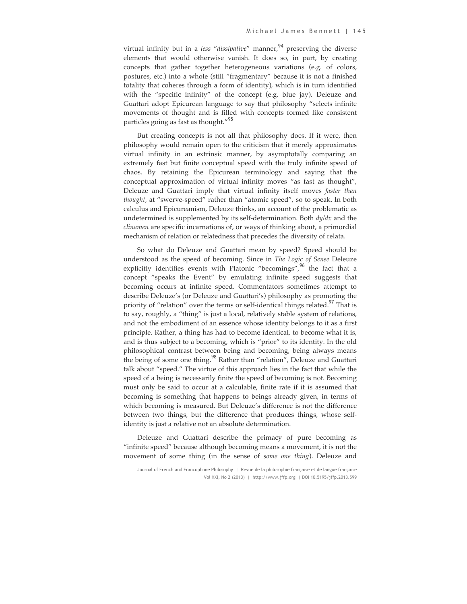virtual infinity but in a *less "dissipative"* manner,<sup>94</sup> preserving the diverse elements that would otherwise vanish. It does so, in part, by creating concepts that gather together heterogeneous variations (e.g. of colors, postures, etc.) into a whole (still "fragmentary" because it is not a finished totality that coheres through a form of identity), which is in turn identified with the "specific infinity" of the concept (e.g. blue jay). Deleuze and Guattari adopt Epicurean language to say that philosophy "selects infinite movements of thought and is filled with concepts formed like consistent particles going as fast as thought."<sup>95</sup>

But creating concepts is not all that philosophy does. If it were, then philosophy would remain open to the criticism that it merely approximates virtual infinity in an extrinsic manner, by asymptotally comparing an extremely fast but finite conceptual speed with the truly infinite speed of chaos. By retaining the Epicurean terminology and saying that the conceptual approximation of virtual infinity moves "as fast as thought", Deleuze and Guattari imply that virtual infinity itself moves *faster than thought*, at "swerve-speed" rather than "atomic speed", so to speak. In both calculus and Epicureanism, Deleuze thinks, an account of the problematic as undetermined is supplemented by its self-determination. Both *dy/dx* and the *clinamen* are specific incarnations of, or ways of thinking about, a primordial mechanism of relation or relatedness that precedes the diversity of relata.

So what do Deleuze and Guattari mean by speed? Speed should be understood as the speed of becoming. Since in *The Logic of Sense* Deleuze explicitly identifies events with Platonic "becomings",<sup>96</sup> the fact that a concept "speaks the Event" by emulating infinite speed suggests that becoming occurs at infinite speed. Commentators sometimes attempt to describe Deleuze's (or Deleuze and Guattari's) philosophy as promoting the priority of "relation" over the terms or self-identical things related.<sup>97</sup> That is to say, roughly, a "thing" is just a local, relatively stable system of relations, and not the embodiment of an essence whose identity belongs to it as a first principle. Rather, a thing has had to become identical, to become what it is, and is thus subject to a becoming, which is "prior" to its identity. In the old philosophical contrast between being and becoming, being always means the being of some one thing.<sup>98</sup> Rather than "relation", Deleuze and Guattari talk about "speed." The virtue of this approach lies in the fact that while the speed of a being is necessarily finite the speed of becoming is not. Becoming must only be said to occur at a calculable, finite rate if it is assumed that becoming is something that happens to beings already given, in terms of which becoming is measured. But Deleuze's difference is not the difference between two things, but the difference that produces things, whose selfidentity is just a relative not an absolute determination.

Deleuze and Guattari describe the primacy of pure becoming as "infinite speed" because although becoming means a movement, it is not the movement of some thing (in the sense of *some one thing*). Deleuze and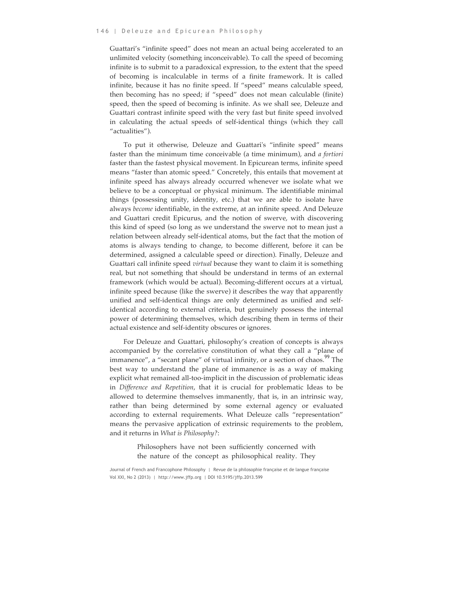Guattari's "infinite speed" does not mean an actual being accelerated to an unlimited velocity (something inconceivable). To call the speed of becoming infinite is to submit to a paradoxical expression, to the extent that the speed of becoming is incalculable in terms of a finite framework. It is called infinite, because it has no finite speed. If "speed" means calculable speed, then becoming has no speed; if "speed" does not mean calculable (finite) speed, then the speed of becoming is infinite. As we shall see, Deleuze and Guattari contrast infinite speed with the very fast but finite speed involved in calculating the actual speeds of self-identical things (which they call "actualities").

To put it otherwise, Deleuze and Guattari's "infinite speed" means faster than the minimum time conceivable (a time minimum), and *a fortiori* faster than the fastest physical movement. In Epicurean terms, infinite speed means "faster than atomic speed." Concretely, this entails that movement at infinite speed has always already occurred whenever we isolate what we believe to be a conceptual or physical minimum. The identifiable minimal things (possessing unity, identity, etc.) that we are able to isolate have always *become* identifiable, in the extreme, at an infinite speed. And Deleuze and Guattari credit Epicurus, and the notion of swerve, with discovering this kind of speed (so long as we understand the swerve not to mean just a relation between already self-identical atoms, but the fact that the motion of atoms is always tending to change, to become different, before it can be determined, assigned a calculable speed or direction). Finally, Deleuze and Guattari call infinite speed *virtual* because they want to claim it is something real, but not something that should be understand in terms of an external framework (which would be actual). Becoming-different occurs at a virtual, infinite speed because (like the swerve) it describes the way that apparently unified and self-identical things are only determined as unified and selfidentical according to external criteria, but genuinely possess the internal power of determining themselves, which describing them in terms of their actual existence and self-identity obscures or ignores.

For Deleuze and Guattari, philosophy's creation of concepts is always accompanied by the correlative constitution of what they call a "plane of immanence", a "secant plane" of virtual infinity, or a section of chaos.<sup>99</sup> The best way to understand the plane of immanence is as a way of making explicit what remained all-too-implicit in the discussion of problematic ideas in *Difference and Repetition*, that it is crucial for problematic Ideas to be allowed to determine themselves immanently, that is, in an intrinsic way, rather than being determined by some external agency or evaluated according to external requirements. What Deleuze calls "representation" means the pervasive application of extrinsic requirements to the problem, and it returns in *What is Philosophy?*:

> Philosophers have not been sufficiently concerned with the nature of the concept as philosophical reality. They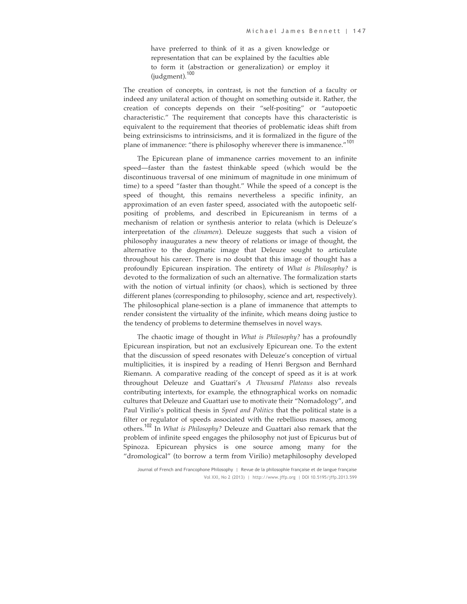have preferred to think of it as a given knowledge or representation that can be explained by the faculties able to form it (abstraction or generalization) or employ it (judgment).<sup>100</sup>

The creation of concepts, in contrast, is not the function of a faculty or indeed any unilateral action of thought on something outside it. Rather, the creation of concepts depends on their "self-positing" or "autopoetic characteristic." The requirement that concepts have this characteristic is equivalent to the requirement that theories of problematic ideas shift from being extrinsicisms to intrinsicisms, and it is formalized in the figure of the plane of immanence: "there is philosophy wherever there is immanence."<sup>101</sup>

The Epicurean plane of immanence carries movement to an infinite speed—faster than the fastest thinkable speed (which would be the discontinuous traversal of one minimum of magnitude in one minimum of time) to a speed "faster than thought." While the speed of a concept is the speed of thought, this remains nevertheless a specific infinity, an approximation of an even faster speed, associated with the autopoetic selfpositing of problems, and described in Epicureanism in terms of a mechanism of relation or synthesis anterior to relata (which is Deleuze's interpretation of the *clinamen*). Deleuze suggests that such a vision of philosophy inaugurates a new theory of relations or image of thought, the alternative to the dogmatic image that Deleuze sought to articulate throughout his career. There is no doubt that this image of thought has a profoundly Epicurean inspiration. The entirety of *What is Philosophy?* is devoted to the formalization of such an alternative. The formalization starts with the notion of virtual infinity (or chaos), which is sectioned by three different planes (corresponding to philosophy, science and art, respectively). The philosophical plane-section is a plane of immanence that attempts to render consistent the virtuality of the infinite, which means doing justice to the tendency of problems to determine themselves in novel ways.

The chaotic image of thought in *What is Philosophy?* has a profoundly Epicurean inspiration, but not an exclusively Epicurean one. To the extent that the discussion of speed resonates with Deleuze's conception of virtual multiplicities, it is inspired by a reading of Henri Bergson and Bernhard Riemann. A comparative reading of the concept of speed as it is at work throughout Deleuze and Guattari's *A Thousand Plateaus* also reveals contributing intertexts, for example, the ethnographical works on nomadic cultures that Deleuze and Guattari use to motivate their "Nomadology", and Paul Virilio's political thesis in *Speed and Politics* that the political state is a filter or regulator of speeds associated with the rebellious masses, among others.<sup>102</sup> In *What is Philosophy?* Deleuze and Guattari also remark that the problem of infinite speed engages the philosophy not just of Epicurus but of Spinoza. Epicurean physics is one source among many for the "dromological" (to borrow a term from Virilio) metaphilosophy developed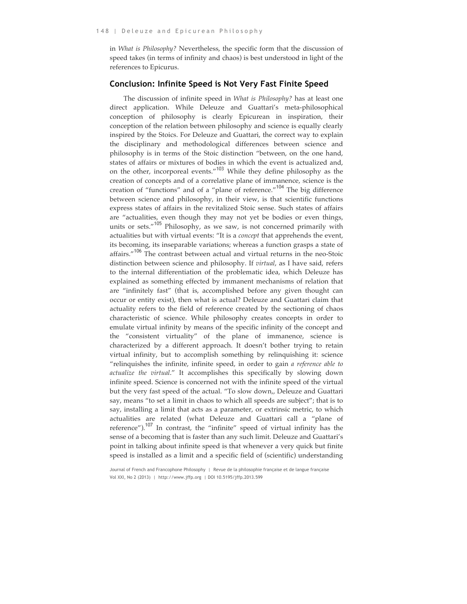in *What is Philosophy?* Nevertheless, the specific form that the discussion of speed takes (in terms of infinity and chaos) is best understood in light of the references to Epicurus.

#### **Conclusion: Infinite Speed is Not Very Fast Finite Speed**

The discussion of infinite speed in *What is Philosophy?* has at least one direct application. While Deleuze and Guattari's meta-philosophical conception of philosophy is clearly Epicurean in inspiration, their conception of the relation between philosophy and science is equally clearly inspired by the Stoics. For Deleuze and Guattari, the correct way to explain the disciplinary and methodological differences between science and philosophy is in terms of the Stoic distinction "between, on the one hand, states of affairs or mixtures of bodies in which the event is actualized and, on the other, incorporeal events."<sup>103</sup> While they define philosophy as the creation of concepts and of a correlative plane of immanence, science is the creation of "functions" and of a "plane of reference."<sup>104</sup> The big difference between science and philosophy, in their view, is that scientific functions express states of affairs in the revitalized Stoic sense. Such states of affairs are "actualities, even though they may not yet be bodies or even things, units or sets."<sup>105</sup> Philosophy, as we saw, is not concerned primarily with actualities but with virtual events: "It is a *concept* that apprehends the event, its becoming, its inseparable variations; whereas a function grasps a state of affairs."<sup>106</sup> The contrast between actual and virtual returns in the neo-Stoic distinction between science and philosophy. If *virtual*, as I have said, refers to the internal differentiation of the problematic idea, which Deleuze has explained as something effected by immanent mechanisms of relation that are "infinitely fast" (that is, accomplished before any given thought can occur or entity exist), then what is actual? Deleuze and Guattari claim that actuality refers to the field of reference created by the sectioning of chaos characteristic of science. While philosophy creates concepts in order to emulate virtual infinity by means of the specific infinity of the concept and the "consistent virtuality" of the plane of immanence, science is characterized by a different approach. It doesn't bother trying to retain virtual infinity, but to accomplish something by relinquishing it: science "relinquishes the infinite, infinite speed, in order to gain *a reference able to actualize the virtual*." It accomplishes this specifically by slowing down infinite speed. Science is concerned not with the infinite speed of the virtual but the very fast speed of the actual. "To slow down,, Deleuze and Guattari say, means "to set a limit in chaos to which all speeds are subject"; that is to say, installing a limit that acts as a parameter, or extrinsic metric, to which actualities are related (what Deleuze and Guattari call a "plane of reference"). $107$  In contrast, the "infinite" speed of virtual infinity has the sense of a becoming that is faster than any such limit. Deleuze and Guattari's point in talking about infinite speed is that whenever a very quick but finite speed is installed as a limit and a specific field of (scientific) understanding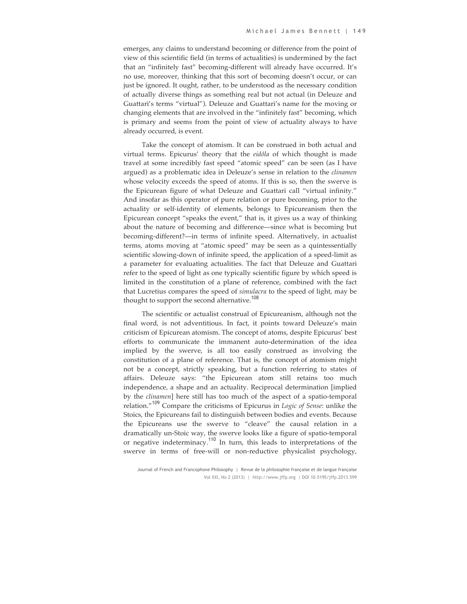emerges, any claims to understand becoming or difference from the point of view of this scientific field (in terms of actualities) is undermined by the fact that an "infinitely fast" becoming-different will already have occurred. It's no use, moreover, thinking that this sort of becoming doesn't occur, or can just be ignored. It ought, rather, to be understood as the necessary condition of actually diverse things as something real but not actual (in Deleuze and Guattari's terms "virtual"). Deleuze and Guattari's name for the moving or changing elements that are involved in the "infinitely fast" becoming, which is primary and seems from the point of view of actuality always to have already occurred, is event.

Take the concept of atomism. It can be construed in both actual and virtual terms. Epicurus' theory that the *eidôla* of which thought is made travel at some incredibly fast speed "atomic speed" can be seen (as I have argued) as a problematic idea in Deleuze's sense in relation to the *clinamen* whose velocity exceeds the speed of atoms. If this is so, then the swerve is the Epicurean figure of what Deleuze and Guattari call "virtual infinity." And insofar as this operator of pure relation or pure becoming, prior to the actuality or self-identity of elements, belongs to Epicureanism then the Epicurean concept "speaks the event," that is, it gives us a way of thinking about the nature of becoming and difference—since what is becoming but becoming-different?—in terms of infinite speed. Alternatively, in actualist terms, atoms moving at "atomic speed" may be seen as a quintessentially scientific slowing-down of infinite speed, the application of a speed-limit as a parameter for evaluating actualities. The fact that Deleuze and Guattari refer to the speed of light as one typically scientific figure by which speed is limited in the constitution of a plane of reference, combined with the fact that Lucretius compares the speed of *simulacra* to the speed of light, may be thought to support the second alternative.<sup>108</sup>

The scientific or actualist construal of Epicureanism, although not the final word, is not adventitious. In fact, it points toward Deleuze's main criticism of Epicurean atomism. The concept of atoms, despite Epicurus' best efforts to communicate the immanent auto-determination of the idea implied by the swerve, is all too easily construed as involving the constitution of a plane of reference. That is, the concept of atomism might not be a concept, strictly speaking, but a function referring to states of affairs. Deleuze says: "the Epicurean atom still retains too much independence, a shape and an actuality. Reciprocal determination [implied by the *clinamen*] here still has too much of the aspect of a spatio-temporal relation."<sup>109</sup> Compare the criticisms of Epicurus in *Logic of Sense*: unlike the Stoics, the Epicureans fail to distinguish between bodies and events. Because the Epicureans use the swerve to "cleave" the causal relation in a dramatically un-Stoic way, the swerve looks like a figure of spatio-temporal or negative indeterminacy.<sup>110</sup> In turn, this leads to interpretations of the swerve in terms of free-will or non-reductive physicalist psychology,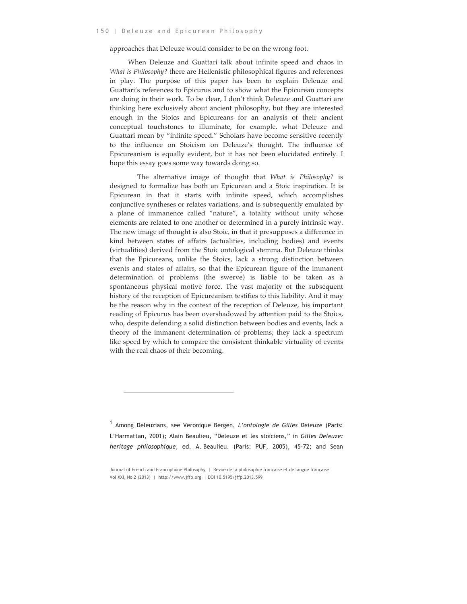approaches that Deleuze would consider to be on the wrong foot.

When Deleuze and Guattari talk about infinite speed and chaos in *What is Philosophy?* there are Hellenistic philosophical figures and references in play. The purpose of this paper has been to explain Deleuze and Guattari's references to Epicurus and to show what the Epicurean concepts are doing in their work. To be clear, I don't think Deleuze and Guattari are thinking here exclusively about ancient philosophy, but they are interested enough in the Stoics and Epicureans for an analysis of their ancient conceptual touchstones to illuminate, for example, what Deleuze and Guattari mean by "infinite speed." Scholars have become sensitive recently to the influence on Stoicism on Deleuze's thought. The influence of Epicureanism is equally evident, but it has not been elucidated entirely. I hope this essay goes some way towards doing so.

The alternative image of thought that *What is Philosophy?* is designed to formalize has both an Epicurean and a Stoic inspiration. It is Epicurean in that it starts with infinite speed, which accomplishes conjunctive syntheses or relates variations, and is subsequently emulated by a plane of immanence called "nature", a totality without unity whose elements are related to one another or determined in a purely intrinsic way. The new image of thought is also Stoic, in that it presupposes a difference in kind between states of affairs (actualities, including bodies) and events (virtualities) derived from the Stoic ontological stemma. But Deleuze thinks that the Epicureans, unlike the Stoics, lack a strong distinction between events and states of affairs, so that the Epicurean figure of the immanent determination of problems (the swerve) is liable to be taken as a spontaneous physical motive force. The vast majority of the subsequent history of the reception of Epicureanism testifies to this liability. And it may be the reason why in the context of the reception of Deleuze, his important reading of Epicurus has been overshadowed by attention paid to the Stoics, who, despite defending a solid distinction between bodies and events, lack a theory of the immanent determination of problems; they lack a spectrum like speed by which to compare the consistent thinkable virtuality of events with the real chaos of their becoming.

 $\overline{a}$ 

<sup>1</sup> Among Deleuzians, see Veronique Bergen, *L'ontologie de Gilles Deleuze* (Paris: L'Harmattan, 2001); Alain Beaulieu, "Deleuze et les stoïciens," in *Gilles Deleuze: heritage philosophique*, ed. A. Beaulieu. (Paris: PUF, 2005), 45-72; and Sean

Journal of French and Francophone Philosophy | Revue de la philosophie française et de langue française Vol XXI, No 2 (2013) | http://www.jffp.org | DOI 10.5195/jffp.2013.599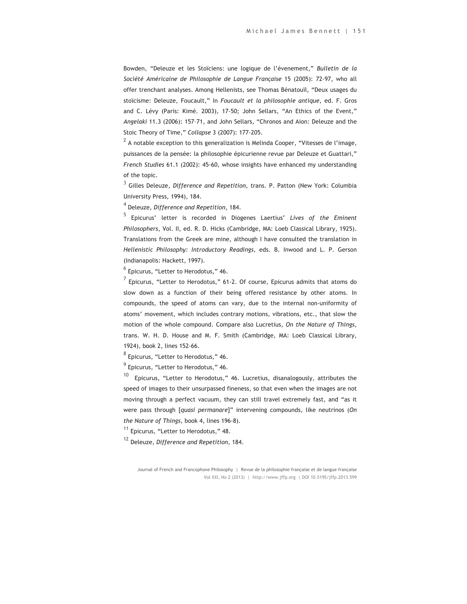Bowden, "Deleuze et les Stoïciens: une logique de l'évenement," *Bulletin de la Société Américaine de Philosophie de Langue Française* 15 (2005): 72-97, who all offer trenchant analyses. Among Hellenists, see Thomas Bénatouïl, "Deux usages du stoïcisme: Deleuze, Foucault," In *Foucault et la philosophie antique*, ed. F. Gros and C. Lévy (Paris: Kimé. 2003), 17-50; John Sellars, "An Ethics of the Event," *Angelaki* 11.3 (2006): 157–71, and John Sellars, "Chronos and Aion: Deleuze and the Stoic Theory of Time," *Collapse* 3 (2007): 177-205.

 $2\text{ A}$  notable exception to this generalization is Melinda Cooper, "Vitesses de l'image, puissances de la pensée: la philosophie épicurienne revue par Deleuze et Guattari," *French Studies* 61.1 (2002): 45-60, whose insights have enhanced my understanding of the topic.

<sup>3</sup> Gilles Deleuze, *Difference and Repetition*, trans. P. Patton (New York: Columbia University Press, 1994), 184.

<sup>4</sup> Deleuze, *Difference and Repetition*, 184.

<sup>5</sup> Epicurus' letter is recorded in Diogenes Laertius' *Lives of the Eminent Philosophers*, Vol. II, ed. R. D. Hicks (Cambridge, MA: Loeb Classical Library, 1925). Translations from the Greek are mine, although I have consulted the translation in *Hellenistic Philosophy: Introductory Readings*, eds. B. Inwood and L. P. Gerson (Indianapolis: Hackett, 1997).

 $6$  Epicurus, "Letter to Herodotus," 46.

 $<sup>7</sup>$  Epicurus, "Letter to Herodotus," 61-2. Of course, Epicurus admits that atoms do</sup> slow down as a function of their being offered resistance by other atoms. In compounds, the speed of atoms can vary, due to the internal non-uniformity of atoms' movement, which includes contrary motions, vibrations, etc., that slow the motion of the whole compound. Compare also Lucretius, *On the Nature of Things*, trans. W. H. D. House and M. F. Smith (Cambridge, MA: Loeb Classical Library, 1924), book 2, lines 152-66.

 $8$  Epicurus, "Letter to Herodotus," 46.

 $<sup>9</sup>$  Epicurus, "Letter to Herodotus," 46.</sup>

 $10$  Epicurus, "Letter to Herodotus," 46. Lucretius, disanalogously, attributes the speed of images to their unsurpassed fineness, so that even when the images are not moving through a perfect vacuum, they can still travel extremely fast, and "as it were pass through [*quasi permanare*]" intervening compounds, like neutrinos (*On the Nature of Things*, book 4, lines 196-8).

<sup>11</sup> Epicurus, "Letter to Herodotus," 48.

<sup>12</sup> Deleuze, *Difference and Repetition*, 184.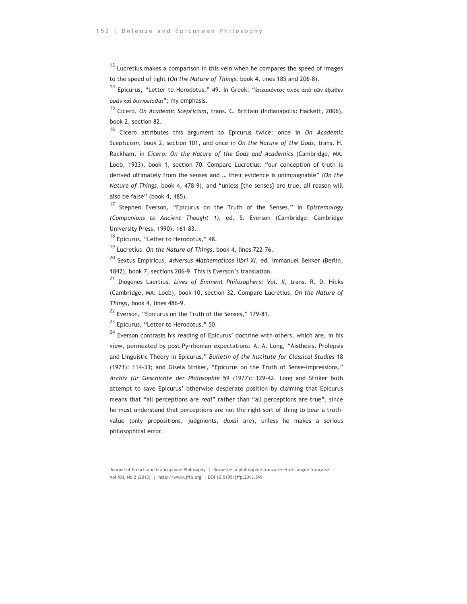$13$  Lucretius makes a comparison in this vein when he compares the speed of images to the speed of light (*On the Nature of Things*, book 4, lines 185 and 206-8).

<sup>14</sup> Epicurus, "Letter to Herodotus," 49. In Greek: "ἐπεισιόντος τινὸς ἀπὸ τῶν ἔξωθεν *ὁρᾶν καὶ διανοεῖσθαι*"; my emphasis.

<sup>15</sup> Cicero, *On Academic Scepticism*, trans. C. Brittain (Indianapolis: Hackett, 2006), book 2, section 82.

<sup>16</sup> Cicero attributes this argument to Epicurus twice: once in *On Academic Scepticism*, book 2, section 101, and once in *On the Nature of the Gods*, trans. H. Rackham, in *Cicero: On the Nature of the Gods and Academics* (Cambridge, MA: Loeb, 1933), book 1, section 70. Compare Lucretius: "our conception of truth is derived ultimately from the senses and … their evidence is unimpugnable" (*On the Nature of Things*, book 4, 478-9), and "unless [the senses] are true, all reason will also be false" (book 4, 485).

<sup>17</sup> Stephen Everson, "Epicurus on the Truth of the Senses," in *Epistemology (Companions to Ancient Thought 1)*, ed. S. Everson (Cambridge: Cambridge University Press, 1990), 161-83.

<sup>18</sup> Epicurus, "Letter to Herodotus," 48.

<sup>19</sup> Lucretius, *On the Nature of Things*, book 4, lines 722-76.

<sup>20</sup> Sextus Empiricus, *Adversus Mathematicos libri XI*, ed. Immanuel Bekker (Berlin, 1842), book 7, sections 206-9. This is Everson's translation.

<sup>21</sup> Diogenes Laertius, *Lives of Eminent Philosophers: Vol. II*, trans. R. D. Hicks (Cambridge, MA: Loeb), book 10, section 32. Compare Lucretius, *On the Nature of Things*, book 4, lines 486-9.

 $22$  Everson, "Epicurus on the Truth of the Senses," 179-81.

<sup>23</sup> Epicurus, "Letter to Herodotus," 50.

 $24$  Everson contrasts his reading of Epicurus' doctrine with others, which are, in his view, permeated by post-Pyrrhonian expectations: A. A. Long, "Aisthesis, Prolepsis and Linguistic Theory in Epicurus," *Bulletin of the Institute for Classical Studies* 18 (1971): 114-33; and Gisela Striker, "Epicurus on the Truth of Sense-Impressions," *Archiv für Geschichte der Philosophie* 59 (1977): 129-42. Long and Striker both attempt to save Epicurus' otherwise desperate position by claiming that Epicurus means that "all perceptions are *real*" rather than "all perceptions are true", since he must understand that perceptions are not the right sort of thing to bear a truthvalue (only propositions, judgments, *doxai* are), unless he makes a serious philosophical error.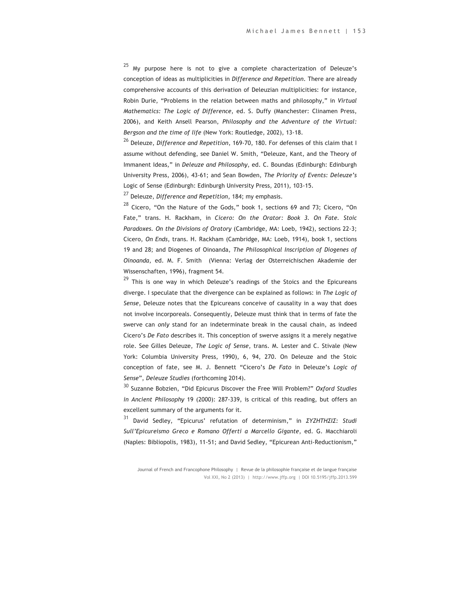<sup>25</sup> My purpose here is not to give a complete characterization of Deleuze's conception of ideas as multiplicities in *Difference and Repetition*. There are already comprehensive accounts of this derivation of Deleuzian multiplicities: for instance, Robin Durie, "Problems in the relation between maths and philosophy," in *Virtual Mathematics: The Logic of Difference*, ed. S. Duffy (Manchester: Clinamen Press, 2006), and Keith Ansell Pearson, *Philosophy and the Adventure of the Virtual: Bergson and the time of life* (New York: Routledge, 2002), 13-18.

<sup>26</sup> Deleuze, *Difference and Repetition*, 169-70, 180. For defenses of this claim that I assume without defending, see Daniel W. Smith, "Deleuze, Kant, and the Theory of Immanent Ideas," in *Deleuze and Philosophy*, ed. C. Boundas (Edinburgh: Edinburgh University Press, 2006), 43-61; and Sean Bowden, *The Priority of Events: Deleuze's*  Logic of Sense (Edinburgh: Edinburgh University Press, 2011), 103-15.

<sup>27</sup> Deleuze, *Difference and Repetition*, 184; my emphasis.

 $^{28}$  Cicero, "On the Nature of the Gods," book 1, sections 69 and 73; Cicero, "On Fate," trans. H. Rackham, in *Cicero: On the Orator: Book 3. On Fate. Stoic Paradoxes. On the Divisions of Oratory* (Cambridge, MA: Loeb, 1942), sections 22-3; Cicero, *On Ends*, trans. H. Rackham (Cambridge, MA: Loeb, 1914), book 1, sections 19 and 28; and Diogenes of Oinoanda, *The Philosophical Inscription of Diogenes of Oinoanda*, ed. M. F. Smith (Vienna: Verlag der Österreichischen Akademie der Wissenschaften, 1996), fragment 54.

 $29$  This is one way in which Deleuze's readings of the Stoics and the Epicureans diverge. I speculate that the divergence can be explained as follows: in *The Logic of Sense*, Deleuze notes that the Epicureans conceive of causality in a way that does not involve incorporeals. Consequently, Deleuze must think that in terms of fate the swerve can *only* stand for an indeterminate break in the causal chain, as indeed Cicero's *De Fato* describes it. This conception of swerve assigns it a merely negative role. See Gilles Deleuze, *The Logic of Sense*, trans. M. Lester and C. Stivale (New York: Columbia University Press, 1990), 6, 94, 270. On Deleuze and the Stoic conception of fate, see M. J. Bennett "Cicero's *De Fato* in Deleuze's *Logic of Sense*", *Deleuze Studies* (forthcoming 2014).

<sup>30</sup> Suzanne Bobzien, "Did Epicurus Discover the Free Will Problem?" *Oxford Studies in Ancient Philosophy* 19 (2000): 287-339, is critical of this reading, but offers an excellent summary of the arguments for it.

<sup>31</sup> David Sedley, "Epicurus' refutation of determinism," in *ΣΥΖΗΤΗΣΙΣ: Studi Sull'Epicureismo Greco e Romano Offerti a Marcello Gigante*, ed. G. Macchiaroli (Naples: Bibliopolis, 1983), 11-51; and David Sedley, "Epicurean Anti-Reductionism,"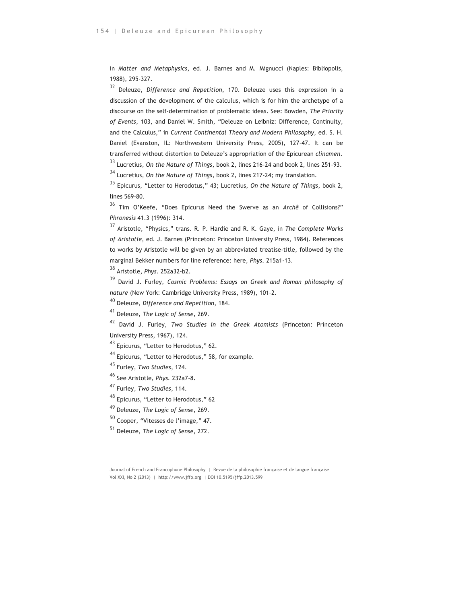in *Matter and Metaphysics*, ed. J. Barnes and M. Mignucci (Naples: Bibliopolis, 1988), 295-327.

<sup>32</sup> Deleuze, *Difference and Repetition*, 170. Deleuze uses this expression in a discussion of the development of the calculus, which is for him the archetype of a discourse on the self-determination of problematic ideas. See: Bowden, *The Priority of Events*, 103, and Daniel W. Smith, "Deleuze on Leibniz: Difference, Continuity, and the Calculus," in *Current Continental Theory and Modern Philosophy*, ed. S. H. Daniel (Evanston, IL: Northwestern University Press, 2005), 127-47. It can be transferred without distortion to Deleuze's appropriation of the Epicurean *clinamen*. <sup>33</sup> Lucretius, *On the Nature of Things*, book 2, lines 216-24 and book 2, lines 251-93. <sup>34</sup> Lucretius, *On the Nature of Things*, book 2, lines 217-24; my translation.

<sup>35</sup> Epicurus, "Letter to Herodotus," 43; Lucretius, *On the Nature of Things*, book 2, lines 569-80.

<sup>36</sup> Tim O'Keefe, "Does Epicurus Need the Swerve as an *Archê* of Collisions?" *Phronesis* 41.3 (1996): 314.

<sup>37</sup> Aristotle, "Physics," trans. R. P. Hardie and R. K. Gaye, in *The Complete Works of Aristotle*, ed. J. Barnes (Princeton: Princeton University Press, 1984). References to works by Aristotle will be given by an abbreviated treatise-title, followed by the marginal Bekker numbers for line reference: here, *Phys*. 215a1-13.

<sup>38</sup> Aristotle, *Phys*. 252a32-b2.

<sup>39</sup> David J. Furley, *Cosmic Problems: Essays on Greek and Roman philosophy of nature* (New York: Cambridge University Press, 1989), 101-2.

<sup>40</sup> Deleuze, *Difference and Repetition*, 184.

<sup>41</sup> Deleuze, *The Logic of Sense*, 269.

<sup>42</sup> David J. Furley, *Two Studies in the Greek Atomists* (Princeton: Princeton University Press, 1967), 124.

<sup>43</sup> Epicurus, "Letter to Herodotus," 62.

<sup>44</sup> Epicurus, "Letter to Herodotus," 58, for example.

<sup>45</sup> Furley, *Two Studies*, 124.

<sup>46</sup> See Aristotle, *Phys.* 232a7-8.

<sup>47</sup> Furley, *Two Studies*, 114.

48 Epicurus, "Letter to Herodotus," 62

<sup>49</sup> Deleuze, *The Logic of Sense*, 269.

<sup>50</sup> Cooper, "Vitesses de l'image," 47.

<sup>51</sup> Deleuze, *The Logic of Sense*, 272.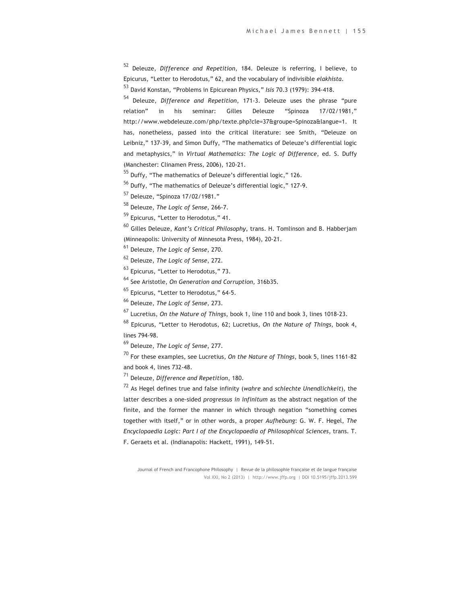<sup>52</sup> Deleuze, *Difference and Repetition*, 184. Deleuze is referring, I believe, to Epicurus, "Letter to Herodotus," 62, and the vocabulary of indivisible *elakhista*.

<sup>53</sup> David Konstan, "Problems in Epicurean Physics," *Isis* 70.3 (1979): 394-418.

<sup>54</sup> Deleuze, *Difference and Repetition*, 171-3. Deleuze uses the phrase "pure relation" in his seminar: Gilles Deleuze "Spinoza 17/02/1981," http://www.webdeleuze.com/php/texte.php?cle=37&groupe=Spinoza&langue=1. It has, nonetheless, passed into the critical literature: see Smith, "Deleuze on Leibniz," 137-39, and Simon Duffy, "The mathematics of Deleuze's differential logic and metaphysics," in *Virtual Mathematics: The Logic of Difference*, ed. S. Duffy (Manchester: Clinamen Press, 2006), 120-21.

<sup>55</sup> Duffy, "The mathematics of Deleuze's differential logic," 126.

<sup>56</sup> Duffy, "The mathematics of Deleuze's differential logic," 127-9.

<sup>57</sup> Deleuze, "Spinoza 17/02/1981."

<sup>58</sup> Deleuze, *The Logic of Sense*, 266-7.

<sup>59</sup> Epicurus, "Letter to Herodotus," 41.

<sup>60</sup> Gilles Deleuze, *Kant's Critical Philosophy*, trans. H. Tomlinson and B. Habberjam (Minneapolis: University of Minnesota Press, 1984), 20-21.

<sup>61</sup> Deleuze, *The Logic of Sense*, 270.

<sup>62</sup> Deleuze, *The Logic of Sense*, 272.

<sup>63</sup> Epicurus, "Letter to Herodotus," 73.

<sup>64</sup> See Aristotle, *On Generation and Corruption*, 316b35.

<sup>65</sup> Epicurus, "Letter to Herodotus," 64-5.

<sup>66</sup> Deleuze, *The Logic of Sense*, 273.

<sup>67</sup> Lucretius, *On the Nature of Things*, book 1, line 110 and book 3, lines 1018-23.

<sup>68</sup> Epicurus, "Letter to Herodotus, 62; Lucretius, *On the Nature of Things*, book 4, lines 794-98.

<sup>69</sup> Deleuze, *The Logic of Sense*, 277.

<sup>70</sup> For these examples, see Lucretius, *On the Nature of Things*, book 5, lines 1161-82 and book 4, lines 732-48.

<sup>71</sup> Deleuze, *Difference and Repetition*, 180.

<sup>72</sup> As Hegel defines true and false infinity (*wahre* and *schlechte Unendlichkeit*), the latter describes a one-sided *progressus in infinitum* as the abstract negation of the finite, and the former the manner in which through negation "something comes together with itself," or in other words, a proper *Aufhebung*: G. W. F. Hegel, *The Encyclopaedia Logic: Part I of the Encyclopaedia of Philosophical Sciences*, trans. T. F. Geraets et al. (Indianapolis: Hackett, 1991), 149-51.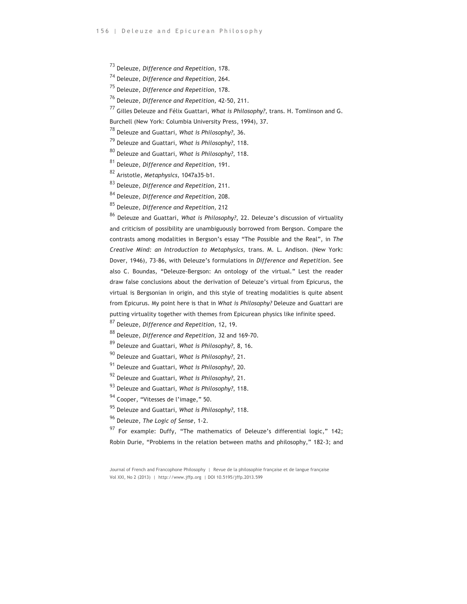Deleuze, *Difference and Repetition*, 178.

Deleuze, *Difference and Repetition*, 264.

Deleuze, *Difference and Repetition*, 178.

Deleuze, *Difference and Repetition*, 42-50, 211.

Gilles Deleuze and Félix Guattari, *What is Philosophy?,* trans. H. Tomlinson and G.

Burchell (New York: Columbia University Press, 1994), 37.

Deleuze and Guattari, *What is Philosophy?*, 36.

Deleuze and Guattari, *What is Philosophy?*, 118.

Deleuze and Guattari, *What is Philosophy?*, 118.

Deleuze, *Difference and Repetition*, 191.

Aristotle, *Metaphysics*, 1047a35-b1.

Deleuze, *Difference and Repetition*, 211.

Deleuze, *Difference and Repetition*, 208.

Deleuze, *Difference and Repetition*, 212

 Deleuze and Guattari, *What is Philosophy?*, 22. Deleuze's discussion of virtuality and criticism of possibility are unambiguously borrowed from Bergson. Compare the contrasts among modalities in Bergson's essay "The Possible and the Real", in *The Creative Mind: an Introduction to Metaphysics*, trans. M. L. Andison. (New York: Dover, 1946), 73-86, with Deleuze's formulations in *Difference and Repetition*. See also C. Boundas, "Deleuze-Bergson: An ontology of the virtual." Lest the reader draw false conclusions about the derivation of Deleuze's virtual from Epicurus, the virtual is Bergsonian in origin, and this style of treating modalities is quite absent from Epicurus. My point here is that in *What is Philosophy?* Deleuze and Guattari are putting virtuality together with themes from Epicurean physics like infinite speed.

Deleuze, *Difference and Repetition*, 12, 19.

Deleuze, *Difference and Repetition*, 32 and 169-70.

Deleuze and Guattari, *What is Philosophy?*, 8, 16.

Deleuze and Guattari, *What is Philosophy?*, 21.

Deleuze and Guattari, *What is Philosophy?*, 20.

Deleuze and Guattari, *What is Philosophy?*, 21.

Deleuze and Guattari, *What is Philosophy?*, 118.

94 Cooper, "Vitesses de l'image," 50.

Deleuze and Guattari, *What is Philosophy?*, 118.

Deleuze, *The Logic of Sense*, 1-2.

 For example: Duffy, "The mathematics of Deleuze's differential logic," 142; Robin Durie, "Problems in the relation between maths and philosophy," 182-3; and